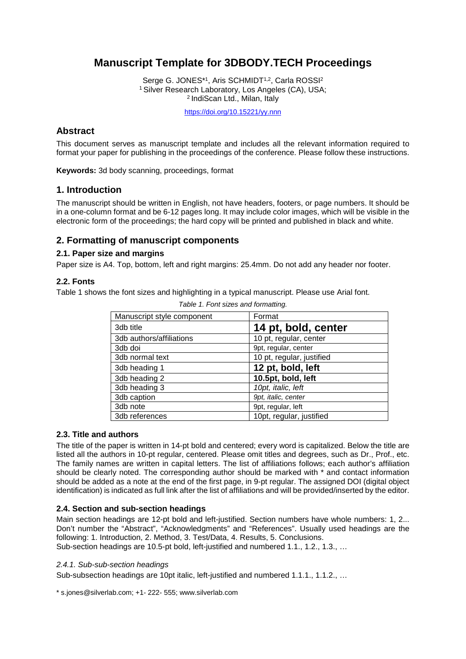# **Manuscript Template for 3DBODY.TECH Proceedings**

Serge G. JONES\*1, Aris SCHMIDT<sup>1,2</sup>, Carla ROSSI<sup>2</sup> 1 Silver Research Laboratory, Los Angeles (CA), USA; 2 IndiScan Ltd., Milan, Italy

<https://doi.org/10.15221/yy.nnn>

# **Abstract**

This document serves as manuscript template and includes all the relevant information required to format your paper for publishing in the proceedings of the conference. Please follow these instructions.

**Keywords:** 3d body scanning, proceedings, format

# **1. Introduction**

The manuscript should be written in English, not have headers, footers, or page numbers. It should be in a one-column format and be 6-12 pages long. It may include color images, which will be visible in the electronic form of the proceedings; the hard copy will be printed and published in black and white.

# **2. Formatting of manuscript components**

# **2.1. Paper size and margins**

Paper size is A4. Top, bottom, left and right margins: 25.4mm. Do not add any header nor footer.

# **2.2. Fonts**

Table 1 shows the font sizes and highlighting in a typical manuscript. Please use Arial font.

| Manuscript style component | Format                    |
|----------------------------|---------------------------|
| 3db title                  | 14 pt, bold, center       |
| 3db authors/affiliations   | 10 pt, regular, center    |
| 3db doi                    | 9pt, regular, center      |
| 3db normal text            | 10 pt, regular, justified |
| 3db heading 1              | 12 pt, bold, left         |
| 3db heading 2              | 10.5pt, bold, left        |
| 3db heading 3              | 10pt, italic, left        |
| 3db caption                | 9pt, italic, center       |
| 3db note                   | 9pt, regular, left        |
| 3db references             | 10pt, regular, justified  |

*Table 1. Font sizes and formatting.*

# **2.3. Title and authors**

The title of the paper is written in 14-pt bold and centered; every word is capitalized. Below the title are listed all the authors in 10-pt regular, centered. Please omit titles and degrees, such as Dr., Prof., etc. The family names are written in capital letters. The list of affiliations follows; each author's affiliation should be clearly noted. The corresponding author should be marked with \* and contact information should be added as a note at the end of the first page, in 9-pt regular. The assigned DOI (digital object identification) is indicated as full link after the list of affiliations and will be provided/inserted by the editor.

# **2.4. Section and sub-section headings**

Main section headings are 12-pt bold and left-justified. Section numbers have whole numbers: 1, 2... Don't number the "Abstract", "Acknowledgments" and "References". Usually used headings are the following: 1. Introduction, 2. Method, 3. Test/Data, 4. Results, 5. Conclusions. Sub-section headings are 10.5-pt bold, left-justified and numbered 1.1., 1.2., 1.3., …

#### *2.4.1. Sub-sub-section headings*

Sub-subsection headings are 10pt italic, left-justified and numbered 1.1.1., 1.1.2., …

\* s.jones@silverlab.com; +1- 222- 555; www.silverlab.com